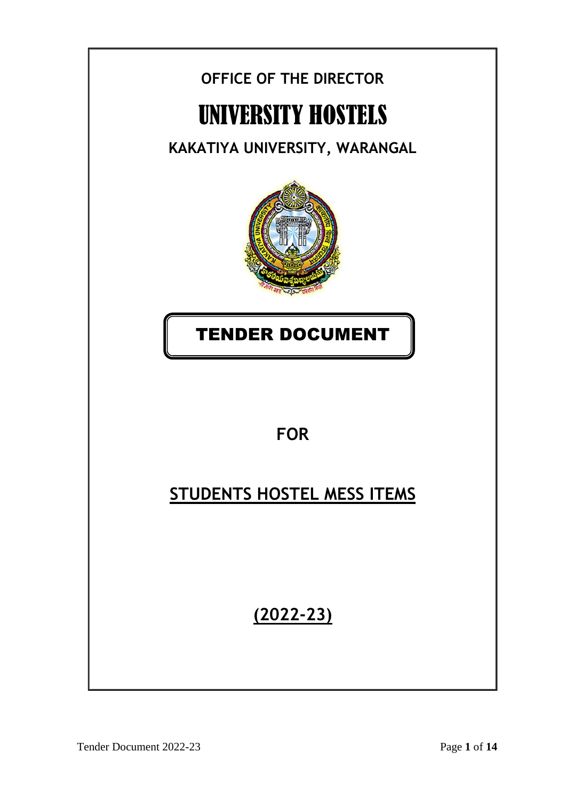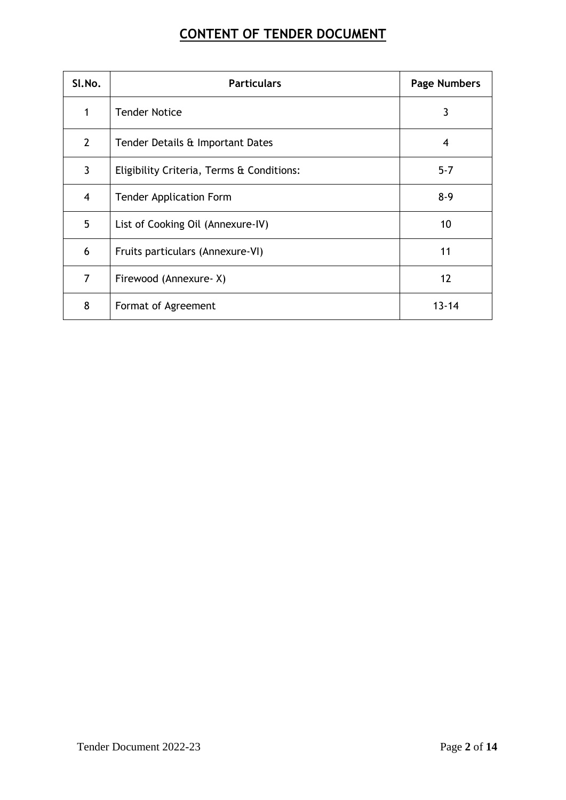# **CONTENT OF TENDER DOCUMENT**

| SI.No.         | <b>Particulars</b>                        | <b>Page Numbers</b> |
|----------------|-------------------------------------------|---------------------|
| 1              | <b>Tender Notice</b>                      | 3                   |
| $\overline{2}$ | Tender Details & Important Dates          | 4                   |
| 3              | Eligibility Criteria, Terms & Conditions: | $5 - 7$             |
| $\overline{4}$ | <b>Tender Application Form</b>            | $8-9$               |
| 5              | List of Cooking Oil (Annexure-IV)         | 10                  |
| 6              | Fruits particulars (Annexure-VI)          | 11                  |
| $\overline{7}$ | Firewood (Annexure-X)                     | 12                  |
| 8              | Format of Agreement                       | $13 - 14$           |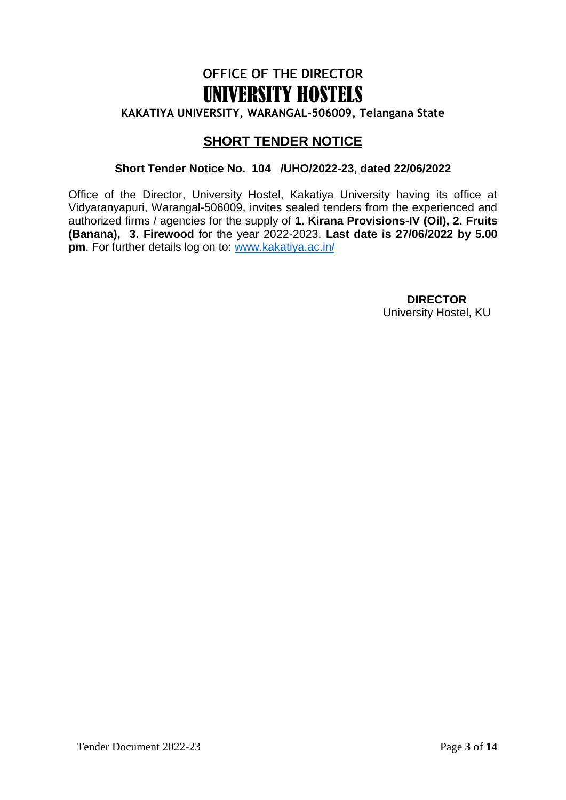# **OFFICE OF THE DIRECTOR** UNIVERSITY HOSTELS

**KAKATIYA UNIVERSITY, WARANGAL-506009, Telangana State**

### **SHORT TENDER NOTICE**

#### **Short Tender Notice No. 104 /UHO/2022-23, dated 22/06/2022**

Office of the Director, University Hostel, Kakatiya University having its office at Vidyaranyapuri, Warangal-506009, invites sealed tenders from the experienced and authorized firms / agencies for the supply of **1. Kirana Provisions-IV (Oil), 2. Fruits (Banana), 3. Firewood** for the year 2022-2023. **Last date is 27/06/2022 by 5.00 pm**. For further details log on to: [www.kakatiya.ac.in/](http://www.kakatiya.ac.in/)

> **DIRECTOR** University Hostel, KU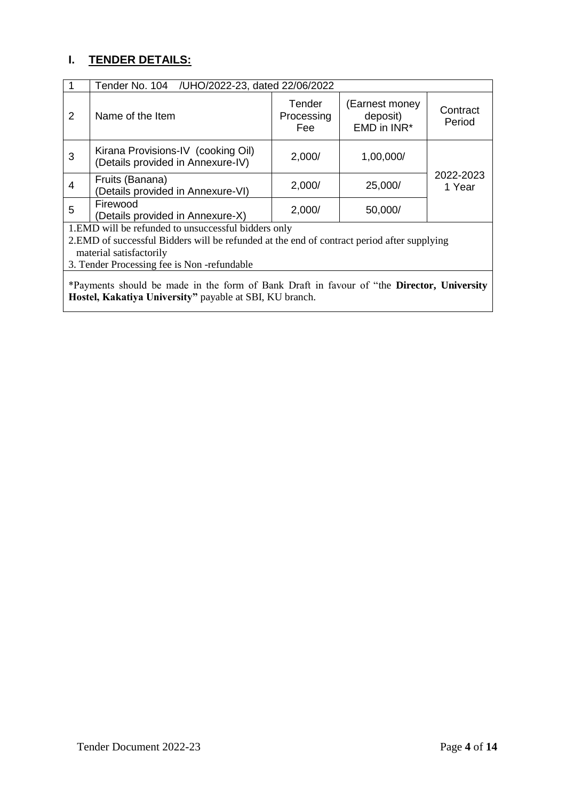# **I. TENDER DETAILS:**

|                                                                                                                                                                                                                             | Tender No. 104 / UHO/2022-23, dated 22/06/2022                          |                             |                                           |                     |  |
|-----------------------------------------------------------------------------------------------------------------------------------------------------------------------------------------------------------------------------|-------------------------------------------------------------------------|-----------------------------|-------------------------------------------|---------------------|--|
| 2                                                                                                                                                                                                                           | Name of the Item                                                        | Tender<br>Processing<br>Fee | (Earnest money<br>deposit)<br>EMD in INR* | Contract<br>Period  |  |
| 3                                                                                                                                                                                                                           | Kirana Provisions-IV (cooking Oil)<br>(Details provided in Annexure-IV) | 2,000/                      | 1,00,000/                                 |                     |  |
| 4                                                                                                                                                                                                                           | Fruits (Banana)<br>(Details provided in Annexure-VI)                    | 2,000/                      | 25,000/                                   | 2022-2023<br>1 Year |  |
| 5                                                                                                                                                                                                                           | Firewood<br>(Details provided in Annexure-X)                            | 2,000/                      | 50,000/                                   |                     |  |
| 1. EMD will be refunded to unsuccessful bidders only<br>2.EMD of successful Bidders will be refunded at the end of contract period after supplying<br>material satisfactorily<br>3. Tender Processing fee is Non-refundable |                                                                         |                             |                                           |                     |  |
| *Payments should be made in the form of Bank Draft in favour of "the Director, University<br>Hostel, Kakatiya University" payable at SBI, KU branch.                                                                        |                                                                         |                             |                                           |                     |  |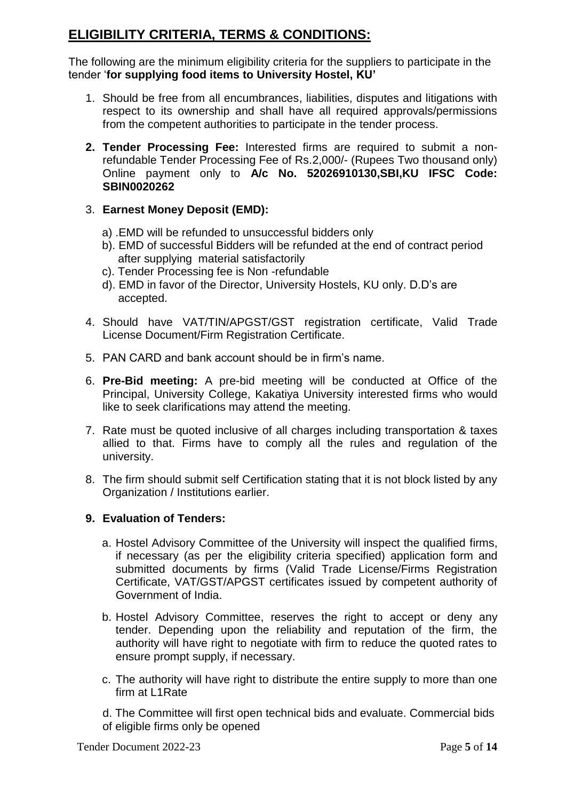### **ELIGIBILITY CRITERIA, TERMS & CONDITIONS:**

The following are the minimum eligibility criteria for the suppliers to participate in the tender "**for supplying food items to University Hostel, KU'**

- 1. Should be free from all encumbrances, liabilities, disputes and litigations with respect to its ownership and shall have all required approvals/permissions from the competent authorities to participate in the tender process.
- **2. Tender Processing Fee:** Interested firms are required to submit a nonrefundable Tender Processing Fee of Rs.2,000/- (Rupees Two thousand only) Online payment only to **A/c No. 52026910130,SBI,KU IFSC Code: SBIN0020262**
- 3. **Earnest Money Deposit (EMD):** 
	- a) .EMD will be refunded to unsuccessful bidders only
	- b). EMD of successful Bidders will be refunded at the end of contract period after supplying material satisfactorily
	- c). Tender Processing fee is Non -refundable
	- d). EMD in favor of the Director, University Hostels, KU only. D.D"s are accepted.
- 4. Should have VAT/TIN/APGST/GST registration certificate, Valid Trade License Document/Firm Registration Certificate.
- 5. PAN CARD and bank account should be in firm"s name.
- 6. **Pre-Bid meeting:** A pre-bid meeting will be conducted at Office of the Principal, University College, Kakatiya University interested firms who would like to seek clarifications may attend the meeting.
- 7. Rate must be quoted inclusive of all charges including transportation & taxes allied to that. Firms have to comply all the rules and regulation of the university.
- 8. The firm should submit self Certification stating that it is not block listed by any Organization / Institutions earlier.

#### **9. Evaluation of Tenders:**

- a. Hostel Advisory Committee of the University will inspect the qualified firms, if necessary (as per the eligibility criteria specified) application form and submitted documents by firms (Valid Trade License/Firms Registration Certificate, VAT/GST/APGST certificates issued by competent authority of Government of India.
- b. Hostel Advisory Committee, reserves the right to accept or deny any tender. Depending upon the reliability and reputation of the firm, the authority will have right to negotiate with firm to reduce the quoted rates to ensure prompt supply, if necessary.
- c. The authority will have right to distribute the entire supply to more than one firm at L1Rate

d. The Committee will first open technical bids and evaluate. Commercial bids of eligible firms only be opened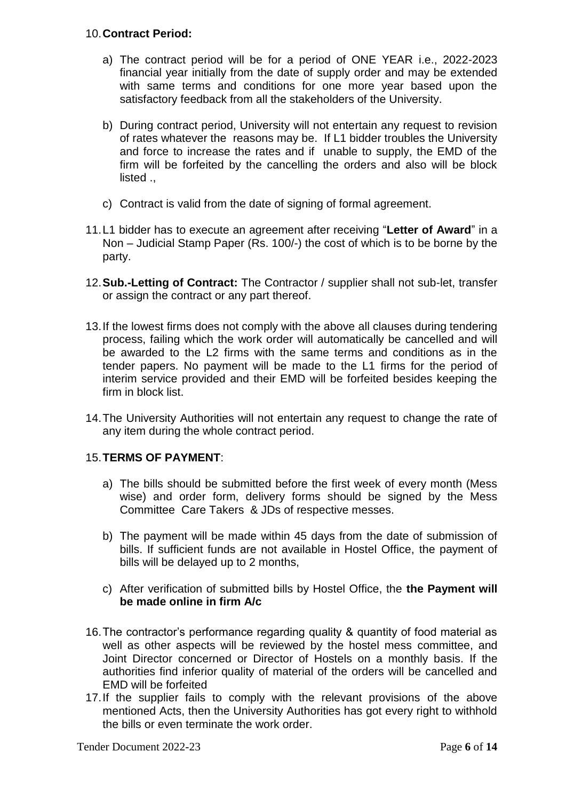#### 10.**Contract Period:**

- a) The contract period will be for a period of ONE YEAR i.e., 2022-2023 financial year initially from the date of supply order and may be extended with same terms and conditions for one more year based upon the satisfactory feedback from all the stakeholders of the University.
- b) During contract period, University will not entertain any request to revision of rates whatever the reasons may be. If L1 bidder troubles the University and force to increase the rates and if unable to supply, the EMD of the firm will be forfeited by the cancelling the orders and also will be block listed .,
- c) Contract is valid from the date of signing of formal agreement.
- 11.L1 bidder has to execute an agreement after receiving "**Letter of Award**" in a Non – Judicial Stamp Paper (Rs. 100/-) the cost of which is to be borne by the party.
- 12.**Sub.-Letting of Contract:** The Contractor / supplier shall not sub-let, transfer or assign the contract or any part thereof.
- 13.If the lowest firms does not comply with the above all clauses during tendering process, failing which the work order will automatically be cancelled and will be awarded to the L2 firms with the same terms and conditions as in the tender papers. No payment will be made to the L1 firms for the period of interim service provided and their EMD will be forfeited besides keeping the firm in block list.
- 14.The University Authorities will not entertain any request to change the rate of any item during the whole contract period.

#### 15.**TERMS OF PAYMENT**:

- a) The bills should be submitted before the first week of every month (Mess wise) and order form, delivery forms should be signed by the Mess Committee Care Takers & JDs of respective messes.
- b) The payment will be made within 45 days from the date of submission of bills. If sufficient funds are not available in Hostel Office, the payment of bills will be delayed up to 2 months,
- c) After verification of submitted bills by Hostel Office, the **the Payment will be made online in firm A/c**
- 16.The contractor"s performance regarding quality & quantity of food material as well as other aspects will be reviewed by the hostel mess committee, and Joint Director concerned or Director of Hostels on a monthly basis. If the authorities find inferior quality of material of the orders will be cancelled and EMD will be forfeited
- 17.If the supplier fails to comply with the relevant provisions of the above mentioned Acts, then the University Authorities has got every right to withhold the bills or even terminate the work order.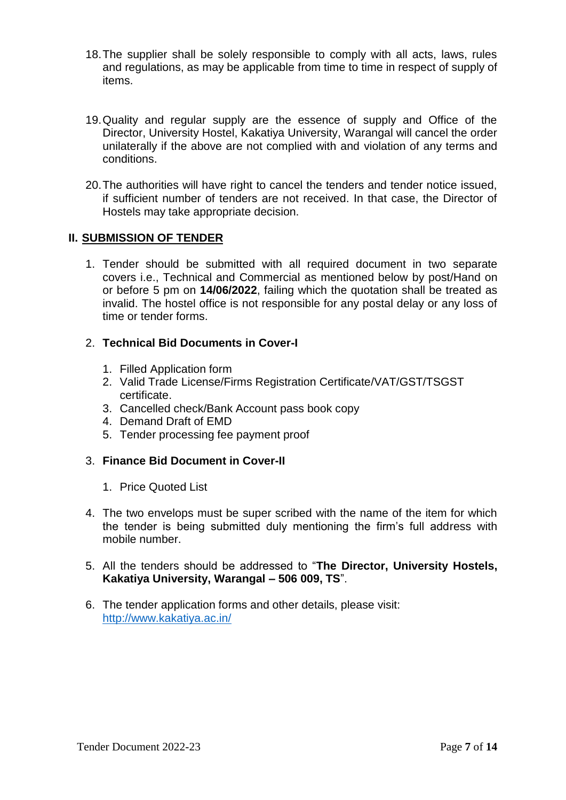- 18.The supplier shall be solely responsible to comply with all acts, laws, rules and regulations, as may be applicable from time to time in respect of supply of items.
- 19.Quality and regular supply are the essence of supply and Office of the Director, University Hostel, Kakatiya University, Warangal will cancel the order unilaterally if the above are not complied with and violation of any terms and conditions.
- 20.The authorities will have right to cancel the tenders and tender notice issued, if sufficient number of tenders are not received. In that case, the Director of Hostels may take appropriate decision.

#### **II. SUBMISSION OF TENDER**

1. Tender should be submitted with all required document in two separate covers i.e., Technical and Commercial as mentioned below by post/Hand on or before 5 pm on **14/06/2022**, failing which the quotation shall be treated as invalid. The hostel office is not responsible for any postal delay or any loss of time or tender forms.

#### 2. **Technical Bid Documents in Cover-I**

- 1. Filled Application form
- 2. Valid Trade License/Firms Registration Certificate/VAT/GST/TSGST certificate.
- 3. Cancelled check/Bank Account pass book copy
- 4. Demand Draft of EMD
- 5. Tender processing fee payment proof

#### 3. **Finance Bid Document in Cover-II**

- 1. Price Quoted List
- 4. The two envelops must be super scribed with the name of the item for which the tender is being submitted duly mentioning the firm"s full address with mobile number.
- 5. All the tenders should be addressed to "**The Director, University Hostels, Kakatiya University, Warangal – 506 009, TS**".
- 6. The tender application forms and other details, please visit: <http://www.kakatiya.ac.in/>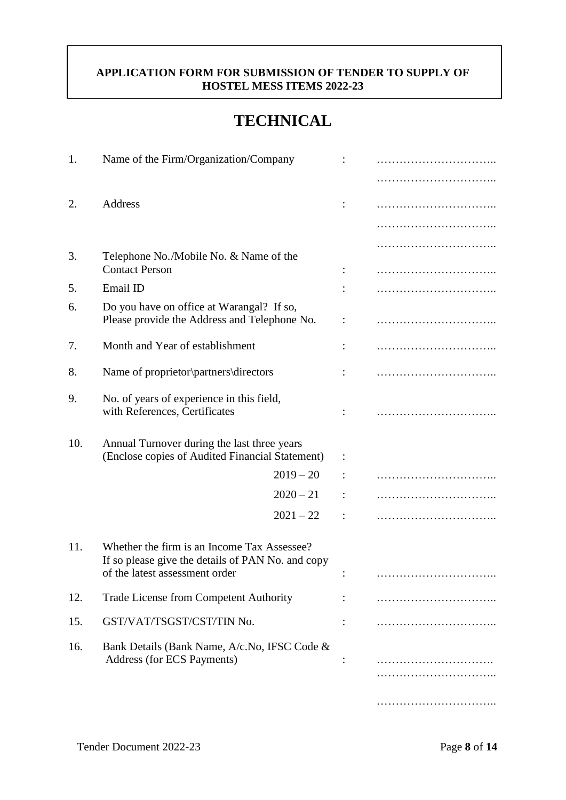#### **APPLICATION FORM FOR SUBMISSION OF TENDER TO SUPPLY OF HOSTEL MESS ITEMS 2022-23**

# **TECHNICAL**

| 1.  | Name of the Firm/Organization/Company                                                                                              |             |  |
|-----|------------------------------------------------------------------------------------------------------------------------------------|-------------|--|
|     |                                                                                                                                    |             |  |
| 2.  | Address                                                                                                                            |             |  |
|     |                                                                                                                                    |             |  |
| 3.  | Telephone No./Mobile No. & Name of the                                                                                             |             |  |
|     | <b>Contact Person</b>                                                                                                              |             |  |
| 5.  | Email ID                                                                                                                           |             |  |
| 6.  | Do you have on office at Warangal? If so,<br>Please provide the Address and Telephone No.                                          |             |  |
| 7.  | Month and Year of establishment                                                                                                    |             |  |
| 8.  | Name of proprietor <i>partners</i> directors                                                                                       |             |  |
| 9.  | No. of years of experience in this field,<br>with References, Certificates                                                         |             |  |
| 10. | Annual Turnover during the last three years<br>(Enclose copies of Audited Financial Statement)                                     |             |  |
|     |                                                                                                                                    | $2019 - 20$ |  |
|     |                                                                                                                                    | $2020 - 21$ |  |
|     |                                                                                                                                    | $2021 - 22$ |  |
| 11. | Whether the firm is an Income Tax Assessee?<br>If so please give the details of PAN No. and copy<br>of the latest assessment order |             |  |
| 12. | Trade License from Competent Authority                                                                                             |             |  |
| 15. | GST/VAT/TSGST/CST/TIN No.                                                                                                          |             |  |
| 16. | Bank Details (Bank Name, A/c.No, IFSC Code &<br>Address (for ECS Payments)                                                         |             |  |
|     |                                                                                                                                    |             |  |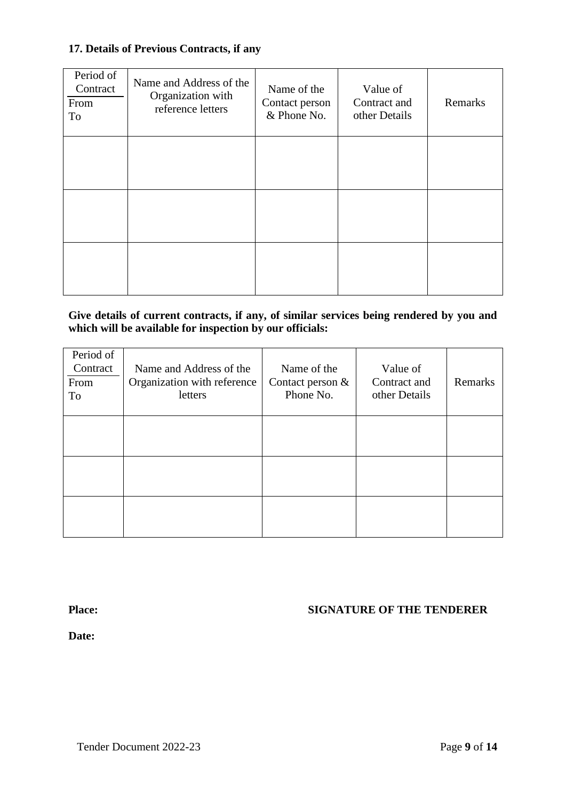#### **17. Details of Previous Contracts, if any**

| Period of<br>Contract<br>From<br>To | Name and Address of the<br>Organization with<br>reference letters | Name of the<br>Contact person<br>& Phone No. | Value of<br>Contract and<br>other Details | Remarks |
|-------------------------------------|-------------------------------------------------------------------|----------------------------------------------|-------------------------------------------|---------|
|                                     |                                                                   |                                              |                                           |         |
|                                     |                                                                   |                                              |                                           |         |
|                                     |                                                                   |                                              |                                           |         |

#### **Give details of current contracts, if any, of similar services being rendered by you and which will be available for inspection by our officials:**

| Period of<br>Contract<br>From<br>To | Name and Address of the<br>Organization with reference<br>letters | Name of the<br>Contact person &<br>Phone No. | Value of<br>Contract and<br>other Details | Remarks |
|-------------------------------------|-------------------------------------------------------------------|----------------------------------------------|-------------------------------------------|---------|
|                                     |                                                                   |                                              |                                           |         |
|                                     |                                                                   |                                              |                                           |         |
|                                     |                                                                   |                                              |                                           |         |

#### **Place: SIGNATURE OF THE TENDERER**

**Date:**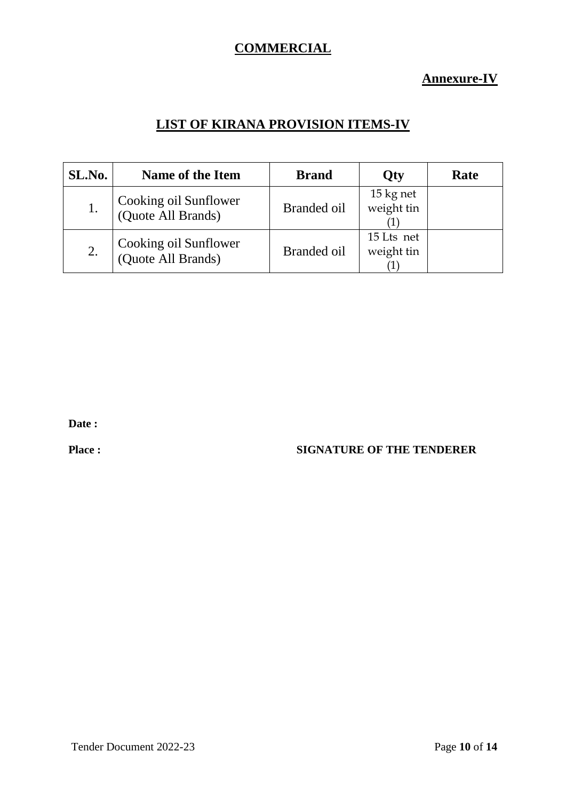### **COMMERCIAL**

**Annexure-IV**

# **LIST OF KIRANA PROVISION ITEMS-IV**

| SL.No. | <b>Name of the Item</b>                     | <b>Brand</b> | <b>Qty</b>               | Rate |
|--------|---------------------------------------------|--------------|--------------------------|------|
| 1.     | Cooking oil Sunflower<br>(Quote All Brands) | Branded oil  | 15 kg net<br>weight tin  |      |
| 2.     | Cooking oil Sunflower<br>(Quote All Brands) | Branded oil  | 15 Lts net<br>weight tin |      |

**Date :**

#### **Place : SIGNATURE OF THE TENDERER**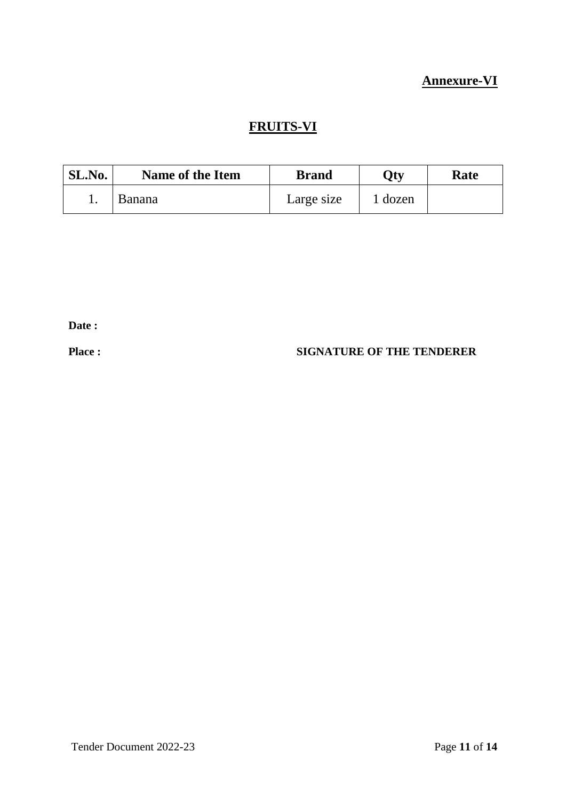# **Annexure-VI**

# **FRUITS-VI**

| SL.No. | <b>Name of the Item</b> | <b>Brand</b> | Oty   | Rate |
|--------|-------------------------|--------------|-------|------|
|        | <b>Banana</b>           | Large size   | dozen |      |

**Date :**

#### **Place : SIGNATURE OF THE TENDERER**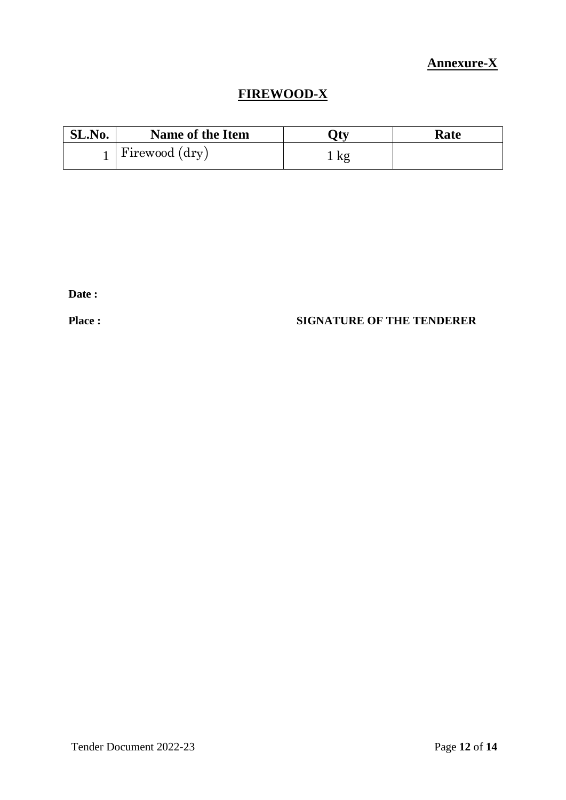# **Annexure-X**

# **FIREWOOD-X**

| SL.No. | <b>Name of the Item</b> | 7tv       | Rate |
|--------|-------------------------|-----------|------|
|        | Firewood (dry)          | <u>kg</u> |      |

**Date :**

### **Place : SIGNATURE OF THE TENDERER**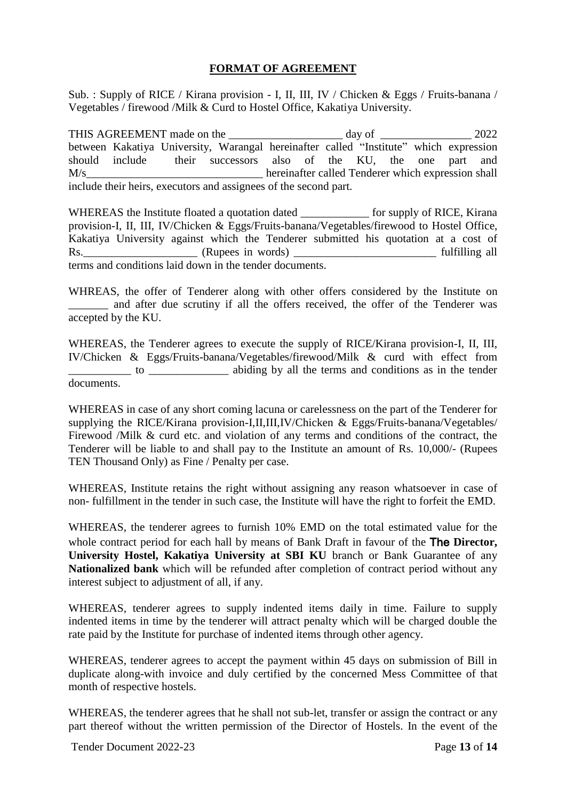#### **FORMAT OF AGREEMENT**

Sub. : Supply of RICE / Kirana provision - I, II, III, IV / Chicken & Eggs / Fruits-banana / Vegetables / firewood /Milk & Curd to Hostel Office, Kakatiya University.

THIS AGREEMENT made on the \_\_\_\_\_\_\_\_\_\_\_\_\_\_\_\_\_\_\_\_\_ day of \_\_\_\_\_\_\_\_\_\_\_\_\_\_\_\_\_\_ 2022 between Kakatiya University, Warangal hereinafter called "Institute" which expression should include their successors also of the KU, the one part and M/s<br>hereinafter called Tenderer which expression shall include their heirs, executors and assignees of the second part.

WHEREAS the Institute floated a quotation dated for supply of RICE, Kirana provision-I, II, III, IV/Chicken & Eggs/Fruits-banana/Vegetables/firewood to Hostel Office, Kakatiya University against which the Tenderer submitted his quotation at a cost of Rs.\_\_\_\_\_\_\_\_\_\_\_\_\_\_\_\_\_\_\_\_ (Rupees in words) \_\_\_\_\_\_\_\_\_\_\_\_\_\_\_\_\_\_\_\_\_\_\_\_\_ fulfilling all terms and conditions laid down in the tender documents.

WHREAS, the offer of Tenderer along with other offers considered by the Institute on and after due scrutiny if all the offers received, the offer of the Tenderer was accepted by the KU.

WHEREAS, the Tenderer agrees to execute the supply of RICE/Kirana provision-I, II, III, IV/Chicken & Eggs/Fruits-banana/Vegetables/firewood/Milk & curd with effect from \_\_\_\_\_\_\_\_\_\_\_ to \_\_\_\_\_\_\_\_\_\_\_\_\_\_ abiding by all the terms and conditions as in the tender documents.

WHEREAS in case of any short coming lacuna or carelessness on the part of the Tenderer for supplying the RICE/Kirana provision-I,II,III,IV/Chicken & Eggs/Fruits-banana/Vegetables/ Firewood /Milk & curd etc. and violation of any terms and conditions of the contract, the Tenderer will be liable to and shall pay to the Institute an amount of Rs. 10,000/- (Rupees TEN Thousand Only) as Fine / Penalty per case.

WHEREAS, Institute retains the right without assigning any reason whatsoever in case of non- fulfillment in the tender in such case, the Institute will have the right to forfeit the EMD.

WHEREAS, the tenderer agrees to furnish 10% EMD on the total estimated value for the whole contract period for each hall by means of Bank Draft in favour of the The **Director, University Hostel, Kakatiya University at SBI KU** branch or Bank Guarantee of any **Nationalized bank** which will be refunded after completion of contract period without any interest subject to adjustment of all, if any.

WHEREAS, tenderer agrees to supply indented items daily in time. Failure to supply indented items in time by the tenderer will attract penalty which will be charged double the rate paid by the Institute for purchase of indented items through other agency.

WHEREAS, tenderer agrees to accept the payment within 45 days on submission of Bill in duplicate along-with invoice and duly certified by the concerned Mess Committee of that month of respective hostels.

WHEREAS, the tenderer agrees that he shall not sub-let, transfer or assign the contract or any part thereof without the written permission of the Director of Hostels. In the event of the

Tender Document 2022-23 **Page 13** of 14